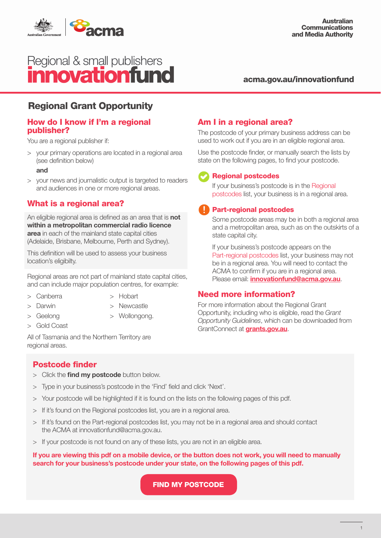

# Regional & small publishers<br>**Innovationfund**

#### acma.gov.au/innovationfund

## Regional Grant Opportunity

#### How do I know if I'm a regional publisher?

You are a regional publisher if:

> your primary operations are located in a regional area (see definition below)

#### and

> your news and journalistic output is targeted to readers and audiences in one or more regional areas.

#### What is a regional area?

An eligible regional area is defined as an area that is not within a metropolitan commercial radio licence area in each of the mainland state capital cities (Adelaide, Brisbane, Melbourne, Perth and Sydney).

This definition will be used to assess your business location's eligibilty.

Regional areas are not part of mainland state capital cities, and can include major population centres, for example:

- > Canberra
- > Hobart
- > Darwin
- > Newcastle

> Wollongong.

- > Geelong
- > Gold Coast

All of Tasmania and the Northern Territory are regional areas.

### Am I in a regional area?

The postcode of your primary business address can be used to work out if you are in an eligible regional area.

Use the postcode finder, or manually search the lists by state on the following pages, to find your postcode.

#### Regional postcodes

If your business's postcode is in the Regional postcodes list, your business is in a regional area.

#### Part-regional postcodes

Some postcode areas may be in both a regional area and a metropolitan area, such as on the outskirts of a state capital city.

If your business's postcode appears on the Part-regional postcodes list, your business may not be in a regional area. You will need to contact the ACMA to confirm if you are in a regional area. Please email: *innovationfund@acma.gov.au.* 

#### Need more information?

For more information about the Regional Grant Opportunity, including who is eligible, read the *Grant Opportunity Guidelines*, which can be downloaded from GrantConnect at [grants.gov.au](http://grants.gov.au).

#### Postcode finder

- > Click the find my postcode button below.
- > Type in your business's postcode in the 'Find' field and click 'Next'.
- > Your postcode will be highlighted if it is found on the lists on the following pages of this pdf.
- > If it's found on the Regional postcodes list, you are in a regional area.
- > If it's found on the Part-regional postcodes list, you may not be in a regional area and should contact the ACMA at innovationfund@acma.gov.au.
- > If your postcode is not found on any of these lists, you are not in an eligible area.

If you are viewing this pdf on a mobile device, or the button does not work, you will need to manually search for your business's postcode under your state, on the following pages of this pdf.

FIND MY POSTCODE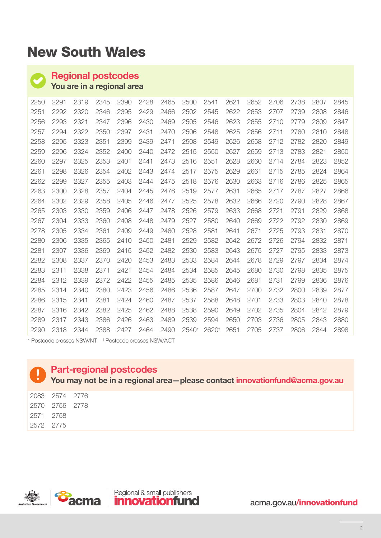# New South Wales

## Regional postcodes

You are in a regional area

| 2250 | 2291 | 2319 | 2345 | 2390 | 2428 | 2465 | 2500  | 2541  | 2621 | 2652 | 2706 | 2738 | 2807 | 2845 |
|------|------|------|------|------|------|------|-------|-------|------|------|------|------|------|------|
| 2251 | 2292 | 2320 | 2346 | 2395 | 2429 | 2466 | 2502  | 2545  | 2622 | 2653 | 2707 | 2739 | 2808 | 2846 |
| 2256 | 2293 | 2321 | 2347 | 2396 | 2430 | 2469 | 2505  | 2546  | 2623 | 2655 | 2710 | 2779 | 2809 | 2847 |
| 2257 | 2294 | 2322 | 2350 | 2397 | 2431 | 2470 | 2506  | 2548  | 2625 | 2656 | 2711 | 2780 | 2810 | 2848 |
| 2258 | 2295 | 2323 | 2351 | 2399 | 2439 | 2471 | 2508  | 2549  | 2626 | 2658 | 2712 | 2782 | 2820 | 2849 |
| 2259 | 2296 | 2324 | 2352 | 2400 | 2440 | 2472 | 2515  | 2550  | 2627 | 2659 | 2713 | 2783 | 2821 | 2850 |
| 2260 | 2297 | 2325 | 2353 | 2401 | 2441 | 2473 | 2516  | 2551  | 2628 | 2660 | 2714 | 2784 | 2823 | 2852 |
| 2261 | 2298 | 2326 | 2354 | 2402 | 2443 | 2474 | 2517  | 2575  | 2629 | 2661 | 2715 | 2785 | 2824 | 2864 |
| 2262 | 2299 | 2327 | 2355 | 2403 | 2444 | 2475 | 2518  | 2576  | 2630 | 2663 | 2716 | 2786 | 2825 | 2865 |
| 2263 | 2300 | 2328 | 2357 | 2404 | 2445 | 2476 | 2519  | 2577  | 2631 | 2665 | 2717 | 2787 | 2827 | 2866 |
| 2264 | 2302 | 2329 | 2358 | 2405 | 2446 | 2477 | 2525  | 2578  | 2632 | 2666 | 2720 | 2790 | 2828 | 2867 |
| 2265 | 2303 | 2330 | 2359 | 2406 | 2447 | 2478 | 2526  | 2579  | 2633 | 2668 | 2721 | 2791 | 2829 | 2868 |
| 2267 | 2304 | 2333 | 2360 | 2408 | 2448 | 2479 | 2527  | 2580  | 2640 | 2669 | 2722 | 2792 | 2830 | 2869 |
| 2278 | 2305 | 2334 | 2361 | 2409 | 2449 | 2480 | 2528  | 2581  | 2641 | 2671 | 2725 | 2793 | 2831 | 2870 |
| 2280 | 2306 | 2335 | 2365 | 2410 | 2450 | 2481 | 2529  | 2582  | 2642 | 2672 | 2726 | 2794 | 2832 | 2871 |
| 2281 | 2307 | 2336 | 2369 | 2415 | 2452 | 2482 | 2530  | 2583  | 2643 | 2675 | 2727 | 2795 | 2833 | 2873 |
| 2282 | 2308 | 2337 | 2370 | 2420 | 2453 | 2483 | 2533  | 2584  | 2644 | 2678 | 2729 | 2797 | 2834 | 2874 |
| 2283 | 2311 | 2338 | 2371 | 2421 | 2454 | 2484 | 2534  | 2585  | 2645 | 2680 | 2730 | 2798 | 2835 | 2875 |
| 2284 | 2312 | 2339 | 2372 | 2422 | 2455 | 2485 | 2535  | 2586  | 2646 | 2681 | 2731 | 2799 | 2836 | 2876 |
| 2285 | 2314 | 2340 | 2380 | 2423 | 2456 | 2486 | 2536  | 2587  | 2647 | 2700 | 2732 | 2800 | 2839 | 2877 |
| 2286 | 2315 | 2341 | 2381 | 2424 | 2460 | 2487 | 2537  | 2588  | 2648 | 2701 | 2733 | 2803 | 2840 | 2878 |
| 2287 | 2316 | 2342 | 2382 | 2425 | 2462 | 2488 | 2538  | 2590  | 2649 | 2702 | 2735 | 2804 | 2842 | 2879 |
| 2289 | 2317 | 2343 | 2386 | 2426 | 2463 | 2489 | 2539  | 2594  | 2650 | 2703 | 2736 | 2805 | 2843 | 2880 |
| 2290 | 2318 | 2344 | 2388 | 2427 | 2464 | 2490 | 2540* | 2620t | 2651 | 2705 | 2737 | 2806 | 2844 | 2898 |

\* Postcode crosses NSW/NT † Postcode crosses NSW/ACT

## Part-regional postcodes

You may not be in a regional area-please contact innovationfund@acma.gov.au

|           | 2083 2574 2776 |  |
|-----------|----------------|--|
|           | 2570 2756 2778 |  |
|           | 2571 2758      |  |
| 2572 2775 |                |  |

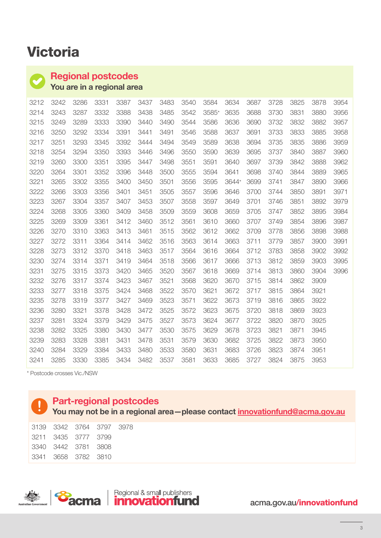# Victoria

## Regional postcodes

You are in a regional area

| 3212 | 3242 | 3286 | 3331 | 3387 | 3437 | 3483 | 3540 | 3584  | 3634  | 3687 | 3728 | 3825 | 3878 | 3954 |
|------|------|------|------|------|------|------|------|-------|-------|------|------|------|------|------|
| 3214 | 3243 | 3287 | 3332 | 3388 | 3438 | 3485 | 3542 | 3585* | 3635  | 3688 | 3730 | 3831 | 3880 | 3956 |
| 3215 | 3249 | 3289 | 3333 | 3390 | 3440 | 3490 | 3544 | 3586  | 3636  | 3690 | 3732 | 3832 | 3882 | 3957 |
| 3216 | 3250 | 3292 | 3334 | 3391 | 3441 | 3491 | 3546 | 3588  | 3637  | 3691 | 3733 | 3833 | 3885 | 3958 |
| 3217 | 3251 | 3293 | 3345 | 3392 | 3444 | 3494 | 3549 | 3589  | 3638  | 3694 | 3735 | 3835 | 3886 | 3959 |
| 3218 | 3254 | 3294 | 3350 | 3393 | 3446 | 3496 | 3550 | 3590  | 3639  | 3695 | 3737 | 3840 | 3887 | 3960 |
| 3219 | 3260 | 3300 | 3351 | 3395 | 3447 | 3498 | 3551 | 3591  | 3640  | 3697 | 3739 | 3842 | 3888 | 3962 |
| 3220 | 3264 | 3301 | 3352 | 3396 | 3448 | 3500 | 3555 | 3594  | 3641  | 3698 | 3740 | 3844 | 3889 | 3965 |
| 3221 | 3265 | 3302 | 3355 | 3400 | 3450 | 3501 | 3556 | 3595  | 3644* | 3699 | 3741 | 3847 | 3890 | 3966 |
| 3222 | 3266 | 3303 | 3356 | 3401 | 3451 | 3505 | 3557 | 3596  | 3646  | 3700 | 3744 | 3850 | 3891 | 3971 |
| 3223 | 3267 | 3304 | 3357 | 3407 | 3453 | 3507 | 3558 | 3597  | 3649  | 3701 | 3746 | 3851 | 3892 | 3979 |
| 3224 | 3268 | 3305 | 3360 | 3409 | 3458 | 3509 | 3559 | 3608  | 3659  | 3705 | 3747 | 3852 | 3895 | 3984 |
| 3225 | 3269 | 3309 | 3361 | 3412 | 3460 | 3512 | 3561 | 3610  | 3660  | 3707 | 3749 | 3854 | 3896 | 3987 |
| 3226 | 3270 | 3310 | 3363 | 3413 | 3461 | 3515 | 3562 | 3612  | 3662  | 3709 | 3778 | 3856 | 3898 | 3988 |
| 3227 | 3272 | 3311 | 3364 | 3414 | 3462 | 3516 | 3563 | 3614  | 3663  | 3711 | 3779 | 3857 | 3900 | 3991 |
| 3228 | 3273 | 3312 | 3370 | 3418 | 3463 | 3517 | 3564 | 3616  | 3664  | 3712 | 3783 | 3858 | 3902 | 3992 |
| 3230 | 3274 | 3314 | 3371 | 3419 | 3464 | 3518 | 3566 | 3617  | 3666  | 3713 | 3812 | 3859 | 3903 | 3995 |
| 3231 | 3275 | 3315 | 3373 | 3420 | 3465 | 3520 | 3567 | 3618  | 3669  | 3714 | 3813 | 3860 | 3904 | 3996 |
| 3232 | 3276 | 3317 | 3374 | 3423 | 3467 | 3521 | 3568 | 3620  | 3670  | 3715 | 3814 | 3862 | 3909 |      |
| 3233 | 3277 | 3318 | 3375 | 3424 | 3468 | 3522 | 3570 | 3621  | 3672  | 3717 | 3815 | 3864 | 3921 |      |
| 3235 | 3278 | 3319 | 3377 | 3427 | 3469 | 3523 | 3571 | 3622  | 3673  | 3719 | 3816 | 3865 | 3922 |      |
| 3236 | 3280 | 3321 | 3378 | 3428 | 3472 | 3525 | 3572 | 3623  | 3675  | 3720 | 3818 | 3869 | 3923 |      |
| 3237 | 3281 | 3324 | 3379 | 3429 | 3475 | 3527 | 3573 | 3624  | 3677  | 3722 | 3820 | 3870 | 3925 |      |
| 3238 | 3282 | 3325 | 3380 | 3430 | 3477 | 3530 | 3575 | 3629  | 3678  | 3723 | 3821 | 3871 | 3945 |      |
| 3239 | 3283 | 3328 | 3381 | 3431 | 3478 | 3531 | 3579 | 3630  | 3682  | 3725 | 3822 | 3873 | 3950 |      |
| 3240 | 3284 | 3329 | 3384 | 3433 | 3480 | 3533 | 3580 | 3631  | 3683  | 3726 | 3823 | 3874 | 3951 |      |
| 3241 | 3285 | 3330 | 3385 | 3434 | 3482 | 3537 | 3581 | 3633  | 3685  | 3727 | 3824 | 3875 | 3953 |      |

\* Postcode crosses Vic./NSW

#### Part-regional postcodes

You may not be in a regional area—please contact innovationfund@acma.gov.au

| 3139 3342 3764 3797 3978 |  |  |
|--------------------------|--|--|
| 3211 3435 3777 3799      |  |  |
| 3340 3442 3781 3808      |  |  |
| 3341 3658 3782 3810      |  |  |

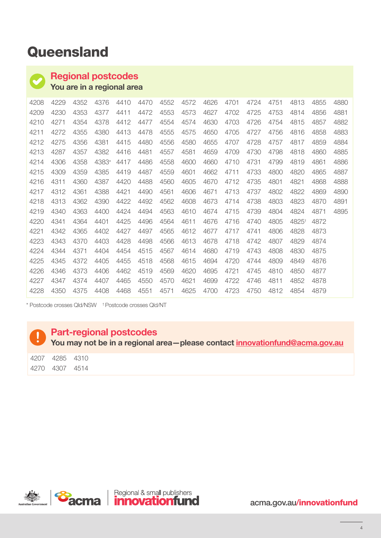# **Queensland**

#### Regional postcodes

You are in a regional area

| 4208 | 4229 | 4352 | 4376  | 4410 | 4470 | 4552 | 4572 | 4626 | 4701 | 4724 | 4751 | 4813              | 4855 | 4880 |
|------|------|------|-------|------|------|------|------|------|------|------|------|-------------------|------|------|
| 4209 | 4230 | 4353 | 4377  | 4411 | 4472 | 4553 | 4573 | 4627 | 4702 | 4725 | 4753 | 4814              | 4856 | 4881 |
| 4210 | 4271 | 4354 | 4378  | 4412 | 4477 | 4554 | 4574 | 4630 | 4703 | 4726 | 4754 | 4815              | 4857 | 4882 |
| 4211 | 4272 | 4355 | 4380  | 4413 | 4478 | 4555 | 4575 | 4650 | 4705 | 4727 | 4756 | 4816              | 4858 | 4883 |
| 4212 | 4275 | 4356 | 4381  | 4415 | 4480 | 4556 | 4580 | 4655 | 4707 | 4728 | 4757 | 4817              | 4859 | 4884 |
| 4213 | 4287 | 4357 | 4382  | 4416 | 4481 | 4557 | 4581 | 4659 | 4709 | 4730 | 4798 | 4818              | 4860 | 4885 |
| 4214 | 4306 | 4358 | 4383* | 4417 | 4486 | 4558 | 4600 | 4660 | 4710 | 4731 | 4799 | 4819              | 4861 | 4886 |
| 4215 | 4309 | 4359 | 4385  | 4419 | 4487 | 4559 | 4601 | 4662 | 4711 | 4733 | 4800 | 4820              | 4865 | 4887 |
| 4216 | 4311 | 4360 | 4387  | 4420 | 4488 | 4560 | 4605 | 4670 | 4712 | 4735 | 4801 | 4821              | 4868 | 4888 |
| 4217 | 4312 | 4361 | 4388  | 4421 | 4490 | 4561 | 4606 | 4671 | 4713 | 4737 | 4802 | 4822              | 4869 | 4890 |
| 4218 | 4313 | 4362 | 4390  | 4422 | 4492 | 4562 | 4608 | 4673 | 4714 | 4738 | 4803 | 4823              | 4870 | 4891 |
| 4219 | 4340 | 4363 | 4400  | 4424 | 4494 | 4563 | 4610 | 4674 | 4715 | 4739 | 4804 | 4824              | 4871 | 4895 |
| 4220 | 4341 | 4364 | 4401  | 4425 | 4496 | 4564 | 4611 | 4676 | 4716 | 4740 | 4805 | 4825 <sup>+</sup> | 4872 |      |
| 4221 | 4342 | 4365 | 4402  | 4427 | 4497 | 4565 | 4612 | 4677 | 4717 | 4741 | 4806 | 4828              | 4873 |      |
| 4223 | 4343 | 4370 | 4403  | 4428 | 4498 | 4566 | 4613 | 4678 | 4718 | 4742 | 4807 | 4829              | 4874 |      |
| 4224 | 4344 | 4371 | 4404  | 4454 | 4515 | 4567 | 4614 | 4680 | 4719 | 4743 | 4808 | 4830              | 4875 |      |
| 4225 | 4345 | 4372 | 4405  | 4455 | 4518 | 4568 | 4615 | 4694 | 4720 | 4744 | 4809 | 4849              | 4876 |      |
| 4226 | 4346 | 4373 | 4406  | 4462 | 4519 | 4569 | 4620 | 4695 | 4721 | 4745 | 4810 | 4850              | 4877 |      |
| 4227 | 4347 | 4374 | 4407  | 4465 | 4550 | 4570 | 4621 | 4699 | 4722 | 4746 | 4811 | 4852              | 4878 |      |
| 4228 | 4350 | 4375 | 4408  | 4468 | 4551 | 4571 | 4625 | 4700 | 4723 | 4750 | 4812 | 4854              | 4879 |      |

\* Postcode crosses Qld/NSW † Postcode crosses Qld/NT

## Part-regional postcodes

You may not be in a regional area—please contact innovationfund@acma.gov.au

| 4207  | 4285 | 4310 |
|-------|------|------|
| 427() | 4307 | 4514 |

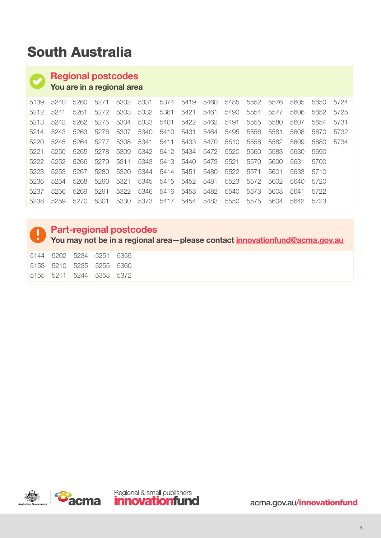# South Australia

## Regional postcodes

You are in a regional area

| 5139 | 5240 | 5260 | 5271 | 5302 | 5331 | 5374      | 5419 | 5460 | 5485 | 5552 | 5576 | 5605 | 5650 | 5724 |
|------|------|------|------|------|------|-----------|------|------|------|------|------|------|------|------|
| 5212 | 5241 | 5261 | 5272 | 5303 | 5332 | 5381      | 5421 | 5461 | 5490 | 5554 | 5577 | 5606 | 5652 | 5725 |
| 5213 | 5242 | 5262 | 5275 | 5304 | 5333 | 5401      | 5422 | 5462 | 5491 | 5555 | 5580 | 5607 | 5654 | 5731 |
| 5214 | 5243 | 5263 | 5276 | 5307 | 5340 | 5410      | 5431 | 5464 | 5495 | 5556 | 5581 | 5608 | 5670 | 5732 |
| 5220 | 5245 | 5264 | 5277 | 5308 | 5341 | 5411      | 5433 | 5470 | 5510 | 5558 | 5582 | 5609 | 5680 | 5734 |
| 5221 | 5250 | 5265 | 5278 | 5309 | 5342 | 5412      | 5434 | 5472 | 5520 | 5560 | 5583 | 5630 | 5690 |      |
| 5222 | 5252 | 5266 | 5279 | 5311 |      | 5343 5413 | 5440 | 5473 | 5521 | 5570 | 5600 | 5631 | 5700 |      |
| 5223 | 5253 | 5267 | 5280 | 5320 |      | 5344 5414 | 5451 | 5480 | 5522 | 5571 | 5601 | 5633 | 5710 |      |
| 5236 | 5254 | 5268 | 5290 | 5321 | 5345 | 5415      | 5452 | 5481 | 5523 | 5572 | 5602 | 5640 | 5720 |      |
| 5237 | 5256 | 5269 | 5291 | 5322 | 5346 | 5416      | 5453 | 5482 | 5540 | 5573 | 5603 | 5641 | 5722 |      |
| 5238 | 5259 | 5270 | 5301 | 5330 | 5373 | 5417      | 5454 | 5483 | 5550 | 5575 | 5604 | 5642 | 5723 |      |

## Part-regional postcodes

You may not be in a regional area-please contact innovationfund@acma.gov.au

 5202 5234 5251 5355 5210 5235 5255 5360 5211 5244 5353 5372

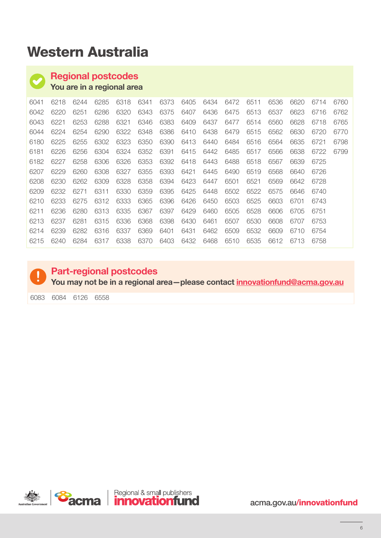# Western Australia

# Regional postcodes

You are in a regional area

| 6041 | 6218 | 6244 | 6285 | 6318 | 6341 | 6373 | 6405 | 6434 | 6472 | 6511 | 6536 | 6620 | 6714 | 6760 |
|------|------|------|------|------|------|------|------|------|------|------|------|------|------|------|
| 6042 | 6220 | 6251 | 6286 | 6320 | 6343 | 6375 | 6407 | 6436 | 6475 | 6513 | 6537 | 6623 | 6716 | 6762 |
| 6043 | 6221 | 6253 | 6288 | 6321 | 6346 | 6383 | 6409 | 6437 | 6477 | 6514 | 6560 | 6628 | 6718 | 6765 |
| 6044 | 6224 | 6254 | 6290 | 6322 | 6348 | 6386 | 6410 | 6438 | 6479 | 6515 | 6562 | 6630 | 6720 | 6770 |
| 6180 | 6225 | 6255 | 6302 | 6323 | 6350 | 6390 | 6413 | 6440 | 6484 | 6516 | 6564 | 6635 | 6721 | 6798 |
| 6181 | 6226 | 6256 | 6304 | 6324 | 6352 | 6391 | 6415 | 6442 | 6485 | 6517 | 6566 | 6638 | 6722 | 6799 |
| 6182 | 6227 | 6258 | 6306 | 6326 | 6353 | 6392 | 6418 | 6443 | 6488 | 6518 | 6567 | 6639 | 6725 |      |
| 6207 | 6229 | 6260 | 6308 | 6327 | 6355 | 6393 | 6421 | 6445 | 6490 | 6519 | 6568 | 6640 | 6726 |      |
| 6208 | 6230 | 6262 | 6309 | 6328 | 6358 | 6394 | 6423 | 6447 | 6501 | 6521 | 6569 | 6642 | 6728 |      |
| 6209 | 6232 | 6271 | 6311 | 6330 | 6359 | 6395 | 6425 | 6448 | 6502 | 6522 | 6575 | 6646 | 6740 |      |
| 6210 | 6233 | 6275 | 6312 | 6333 | 6365 | 6396 | 6426 | 6450 | 6503 | 6525 | 6603 | 6701 | 6743 |      |
| 6211 | 6236 | 6280 | 6313 | 6335 | 6367 | 6397 | 6429 | 6460 | 6505 | 6528 | 6606 | 6705 | 6751 |      |
| 6213 | 6237 | 6281 | 6315 | 6336 | 6368 | 6398 | 6430 | 6461 | 6507 | 6530 | 6608 | 6707 | 6753 |      |
| 6214 | 6239 | 6282 | 6316 | 6337 | 6369 | 6401 | 6431 | 6462 | 6509 | 6532 | 6609 | 6710 | 6754 |      |
| 6215 | 6240 | 6284 | 6317 | 6338 | 6370 | 6403 | 6432 | 6468 | 6510 | 6535 | 6612 | 6713 | 6758 |      |



## Part-regional postcodes

You may not be in a regional area-please contact innovationfund@acma.gov.au

6084 6126 6558